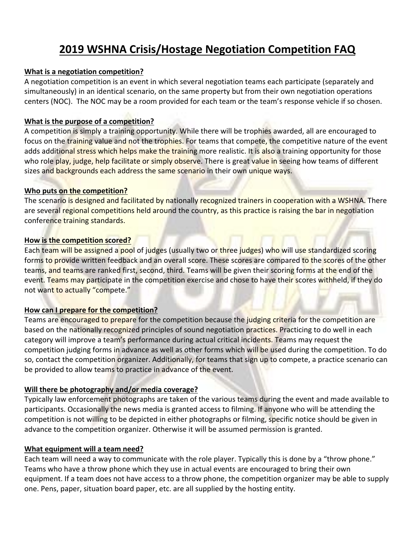# **2019 WSHNA Crisis/Hostage Negotiation Competition FAQ**

#### **What is a negotiation competition?**

A negotiation competition is an event in which several negotiation teams each participate (separately and simultaneously) in an identical scenario, on the same property but from their own negotiation operations centers (NOC). The NOC may be a room provided for each team or the team's response vehicle if so chosen.

#### **What is the purpose of a competition?**

A competition is simply a training opportunity. While there will be trophies awarded, all are encouraged to focus on the training value and not the trophies. For teams that compete, the competitive nature of the event adds additional stress which helps make the training more realistic. It is also a training opportunity for those who role play, judge, help facilitate or simply observe. There is great value in seeing how teams of different sizes and backgrounds each address the same scenario in their own unique ways.

#### **Who puts on the competition?**

The scenario is designed and facilitated by nationally recognized trainers in cooperation with a WSHNA. There are several regional competitions held around the country, as this practice is raising the bar in negotiation conference training standards.

#### **How is the competition scored?**

Each team will be assigned a pool of judges (usually two or three judges) who will use standardized scoring forms to provide written feedback and an overall score. These scores are compared to the scores of the other teams, and teams are ranked first, second, third. Teams will be given their scoring forms at the end of the event. Teams may participate in the competition exercise and chose to have their scores withheld, if they do not want to actually "compete."

#### **How can I prepare for the competition?**

Teams are encouraged to prepare for the competition because the judging criteria for the competition are based on the nationally recognized principles of sound negotiation practices. Practicing to do well in each category will improve a team's performance during actual critical incidents. Teams may request the competition judging forms in advance as well as other forms which will be used during the competition. To do so, contact the competition organizer. Additionally, for teams that sign up to compete, a practice scenario can be provided to allow teams to practice in advance of the event.

## **Will there be photography and/or media coverage?**

Typically law enforcement photographs are taken of the various teams during the event and made available to participants. Occasionally the news media is granted access to filming. If anyone who will be attending the competition is not willing to be depicted in either photographs or filming, specific notice should be given in advance to the competition organizer. Otherwise it will be assumed permission is granted.

## **What equipment will a team need?**

Each team will need a way to communicate with the role player. Typically this is done by a "throw phone." Teams who have a throw phone which they use in actual events are encouraged to bring their own equipment. If a team does not have access to a throw phone, the competition organizer may be able to supply one. Pens, paper, situation board paper, etc. are all supplied by the hosting entity.